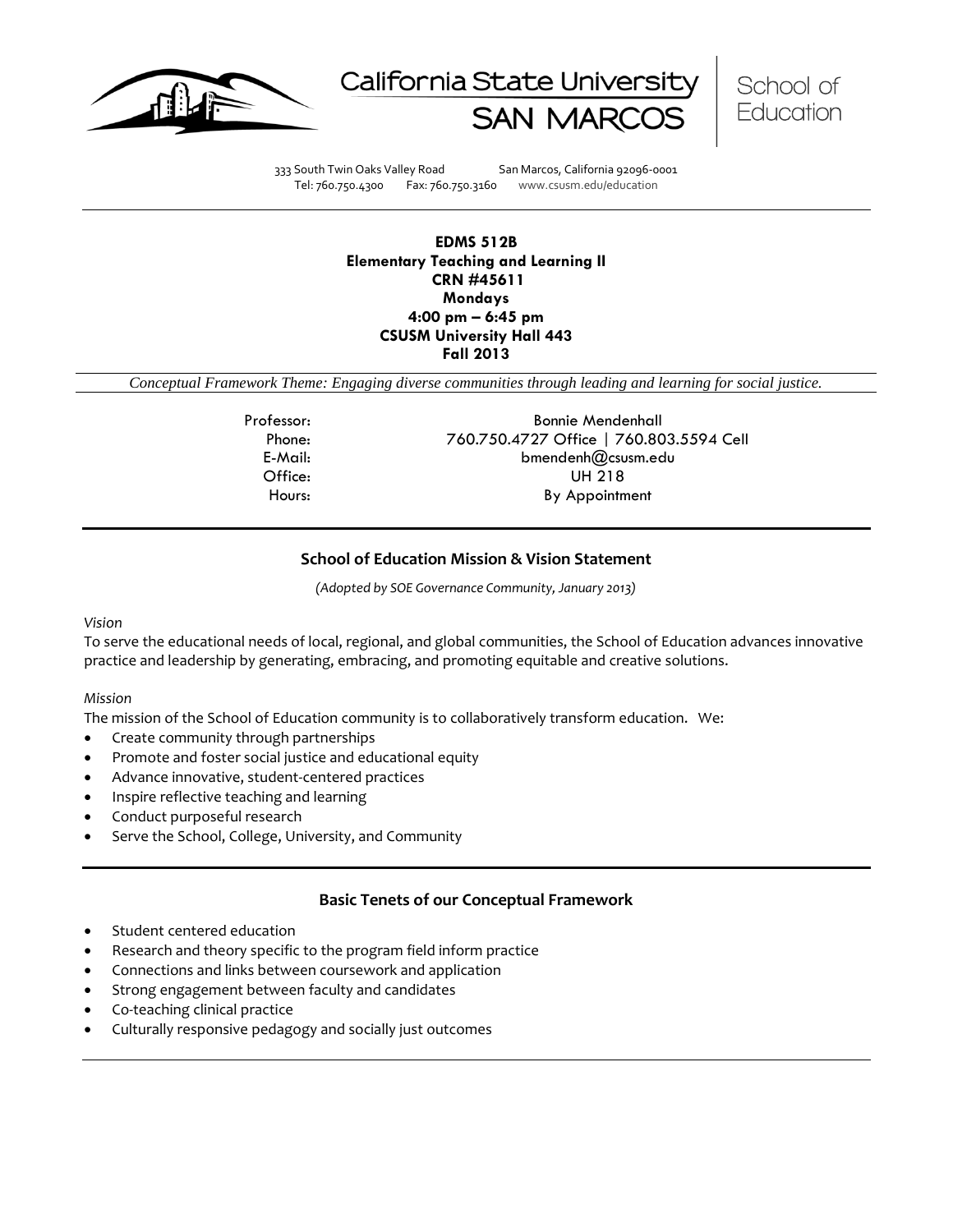





333 South Twin Oaks Valley Road San Marcos, California 92096-0001 Tel: 760.750.4300 Fax: 760.750.3160 www.csusm.edu/education

## **EDMS 512B Elementary Teaching and Learning II CRN #45611 Mondays 4:00 pm – 6:45 pm CSUSM University Hall 443 Fall 2013**

*Conceptual Framework Theme: Engaging diverse communities through leading and learning for social justice.*

Professor: Bonnie Mendenhall Phone: 760.750.4727 Office | 760.803.5594 Cell E-Mail: bmendenh@csusm.edu Office: UH 218 Hours: By Appointment

# **School of Education Mission & Vision Statement**

*(Adopted by SOE Governance Community, January 2013)*

## *Vision*

To serve the educational needs of local, regional, and global communities, the School of Education advances innovative practice and leadership by generating, embracing, and promoting equitable and creative solutions.

## *Mission*

The mission of the School of Education community is to collaboratively transform education. We:

- Create community through partnerships
- Promote and foster social justice and educational equity
- Advance innovative, student-centered practices
- Inspire reflective teaching and learning
- Conduct purposeful research
- Serve the School, College, University, and Community

# **Basic Tenets of our Conceptual Framework**

- Student centered education
- Research and theory specific to the program field inform practice
- Connections and links between coursework and application
- Strong engagement between faculty and candidates
- Co-teaching clinical practice
- Culturally responsive pedagogy and socially just outcomes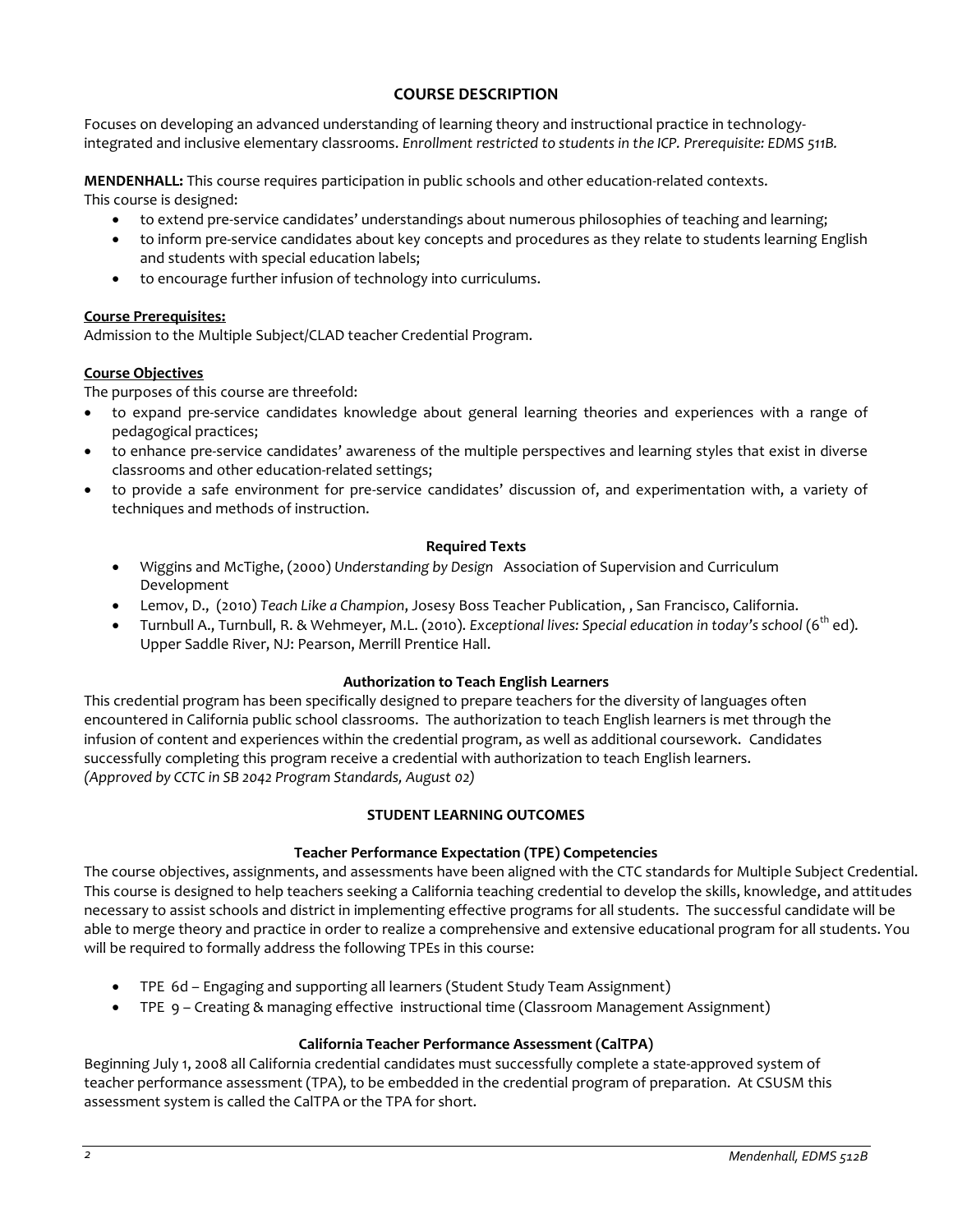# **COURSE DESCRIPTION**

Focuses on developing an advanced understanding of learning theory and instructional practice in technologyintegrated and inclusive elementary classrooms. *Enrollment restricted to students in the ICP. Prerequisite: EDMS 511B.*

**MENDENHALL:** This course requires participation in public schools and other education-related contexts. This course is designed:

- to extend pre-service candidates' understandings about numerous philosophies of teaching and learning;
- to inform pre-service candidates about key concepts and procedures as they relate to students learning English and students with special education labels;
- to encourage further infusion of technology into curriculums.

## **Course Prerequisites:**

Admission to the Multiple Subject/CLAD teacher Credential Program.

## **Course Objectives**

The purposes of this course are threefold:

- to expand pre-service candidates knowledge about general learning theories and experiences with a range of pedagogical practices;
- to enhance pre-service candidates' awareness of the multiple perspectives and learning styles that exist in diverse classrooms and other education-related settings;
- to provide a safe environment for pre-service candidates' discussion of, and experimentation with, a variety of techniques and methods of instruction.

## **Required Texts**

- Wiggins and McTighe, (2000) *Understanding by Design* Association of Supervision and Curriculum Development
- Lemov, D., (2010) *Teach Like a Champion*, Josesy Boss Teacher Publication, , San Francisco, California.
- Turnbull A., Turnbull, R. & Wehmeyer, M.L. (2010). *Exceptional lives: Special education in today's school* (6th ed). Upper Saddle River, NJ: Pearson, Merrill Prentice Hall.

## **Authorization to Teach English Learners**

This credential program has been specifically designed to prepare teachers for the diversity of languages often encountered in California public school classrooms. The authorization to teach English learners is met through the infusion of content and experiences within the credential program, as well as additional coursework. Candidates successfully completing this program receive a credential with authorization to teach English learners. *(Approved by CCTC in SB 2042 Program Standards, August 02)*

## **STUDENT LEARNING OUTCOMES**

# **Teacher Performance Expectation (TPE) Competencies**

The course objectives, assignments, and assessments have been aligned with the CTC standards for Multiple Subject Credential. This course is designed to help teachers seeking a California teaching credential to develop the skills, knowledge, and attitudes necessary to assist schools and district in implementing effective programs for all students. The successful candidate will be able to merge theory and practice in order to realize a comprehensive and extensive educational program for all students. You will be required to formally address the following TPEs in this course:

- TPE 6d Engaging and supporting all learners (Student Study Team Assignment)
- TPE 9 Creating & managing effective instructional time (Classroom Management Assignment)

## **California Teacher Performance Assessment (CalTPA)**

Beginning July 1, 2008 all California credential candidates must successfully complete a state-approved system of teacher performance assessment (TPA), to be embedded in the credential program of preparation. At CSUSM this assessment system is called the CalTPA or the TPA for short.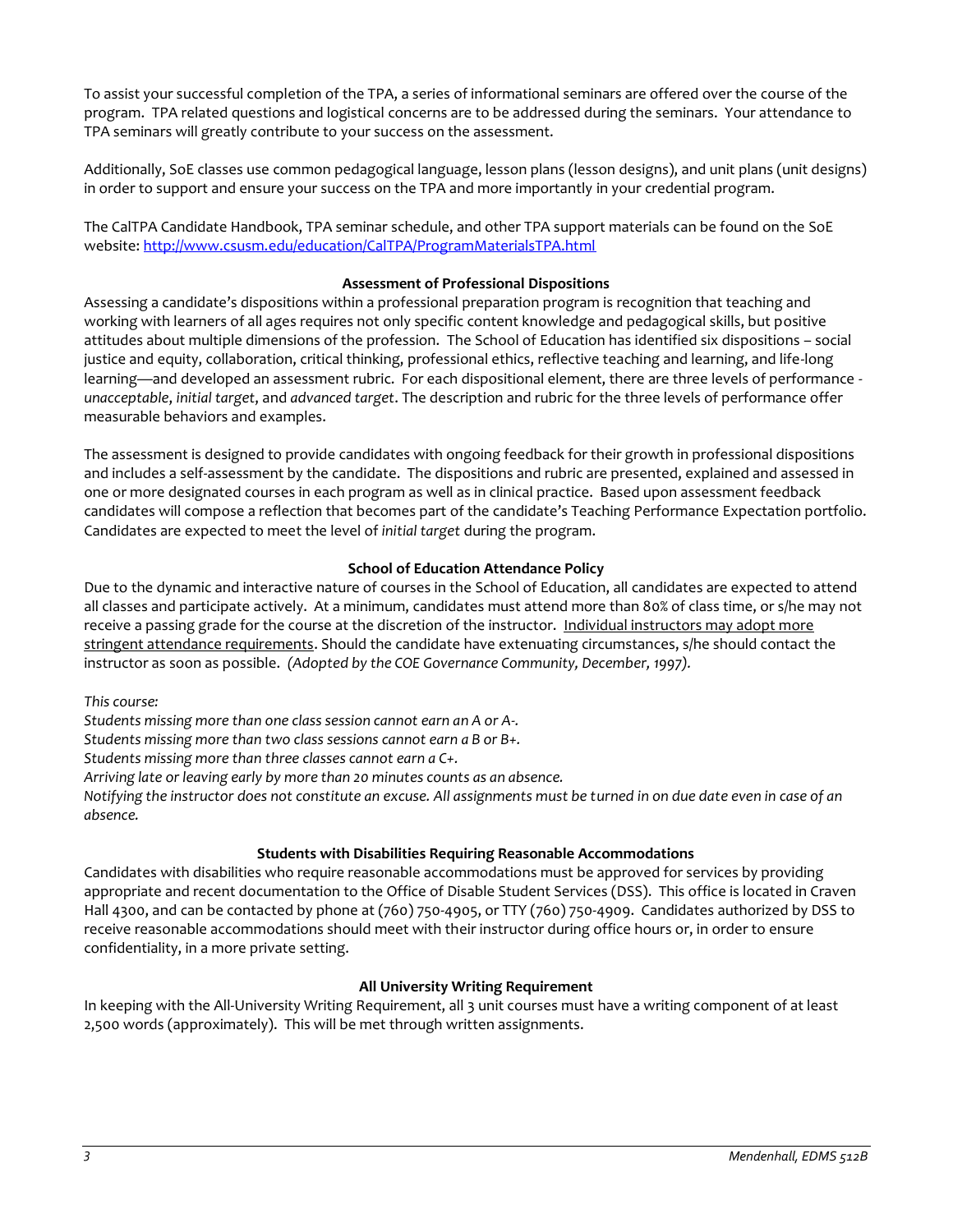To assist your successful completion of the TPA, a series of informational seminars are offered over the course of the program. TPA related questions and logistical concerns are to be addressed during the seminars. Your attendance to TPA seminars will greatly contribute to your success on the assessment.

Additionally, SoE classes use common pedagogical language, lesson plans (lesson designs), and unit plans (unit designs) in order to support and ensure your success on the TPA and more importantly in your credential program.

The CalTPA Candidate Handbook, TPA seminar schedule, and other TPA support materials can be found on the SoE website: <http://www.csusm.edu/education/CalTPA/ProgramMaterialsTPA.html>

## **Assessment of Professional Dispositions**

Assessing a candidate's dispositions within a professional preparation program is recognition that teaching and working with learners of all ages requires not only specific content knowledge and pedagogical skills, but positive attitudes about multiple dimensions of the profession. The School of Education has identified six dispositions – social justice and equity, collaboration, critical thinking, professional ethics, reflective teaching and learning, and life-long learning—and developed an assessment rubric. For each dispositional element, there are three levels of performance *unacceptable*, *initial target*, and *advanced target*. The description and rubric for the three levels of performance offer measurable behaviors and examples.

The assessment is designed to provide candidates with ongoing feedback for their growth in professional dispositions and includes a self-assessment by the candidate. The dispositions and rubric are presented, explained and assessed in one or more designated courses in each program as well as in clinical practice. Based upon assessment feedback candidates will compose a reflection that becomes part of the candidate's Teaching Performance Expectation portfolio. Candidates are expected to meet the level of *initial target* during the program.

## **School of Education Attendance Policy**

Due to the dynamic and interactive nature of courses in the School of Education, all candidates are expected to attend all classes and participate actively. At a minimum, candidates must attend more than 80% of class time, or s/he may not receive a passing grade for the course at the discretion of the instructor. Individual instructors may adopt more stringent attendance requirements. Should the candidate have extenuating circumstances, s/he should contact the instructor as soon as possible. *(Adopted by the COE Governance Community, December, 1997).*

*This course:* 

*Students missing more than one class session cannot earn an A or A-.* 

*Students missing more than two class sessions cannot earn a B or B+.* 

*Students missing more than three classes cannot earn a C+.* 

*Arriving late or leaving early by more than 20 minutes counts as an absence.* 

*Notifying the instructor does not constitute an excuse. All assignments must be turned in on due date even in case of an absence.*

## **Students with Disabilities Requiring Reasonable Accommodations**

Candidates with disabilities who require reasonable accommodations must be approved for services by providing appropriate and recent documentation to the Office of Disable Student Services (DSS). This office is located in Craven Hall 4300, and can be contacted by phone at (760) 750-4905, or TTY (760) 750-4909. Candidates authorized by DSS to receive reasonable accommodations should meet with their instructor during office hours or, in order to ensure confidentiality, in a more private setting.

## **All University Writing Requirement**

In keeping with the All-University Writing Requirement, all 3 unit courses must have a writing component of at least 2,500 words (approximately). This will be met through written assignments.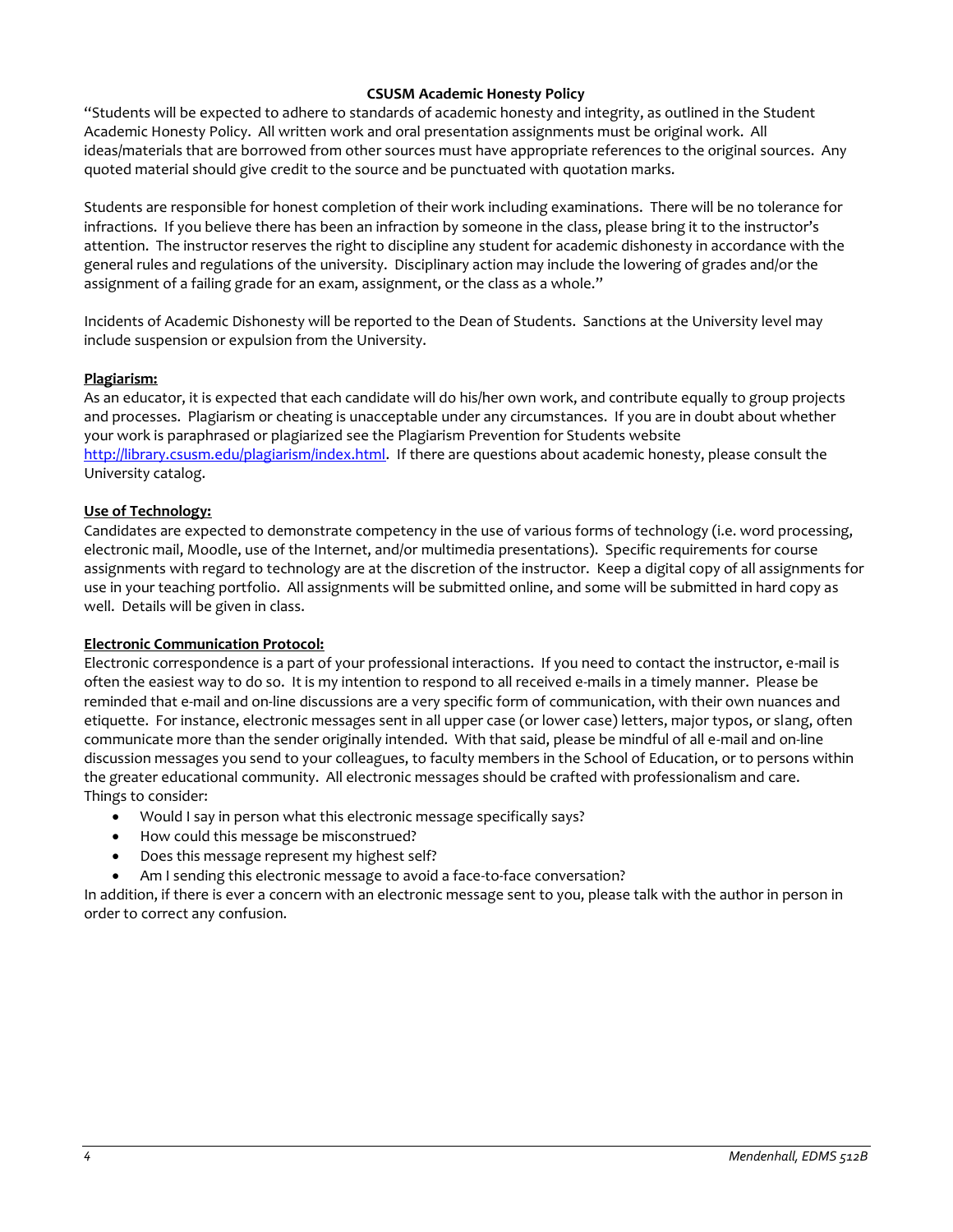## **CSUSM Academic Honesty Policy**

"Students will be expected to adhere to standards of academic honesty and integrity, as outlined in the Student Academic Honesty Policy. All written work and oral presentation assignments must be original work. All ideas/materials that are borrowed from other sources must have appropriate references to the original sources. Any quoted material should give credit to the source and be punctuated with quotation marks.

Students are responsible for honest completion of their work including examinations. There will be no tolerance for infractions. If you believe there has been an infraction by someone in the class, please bring it to the instructor's attention. The instructor reserves the right to discipline any student for academic dishonesty in accordance with the general rules and regulations of the university. Disciplinary action may include the lowering of grades and/or the assignment of a failing grade for an exam, assignment, or the class as a whole."

Incidents of Academic Dishonesty will be reported to the Dean of Students. Sanctions at the University level may include suspension or expulsion from the University.

## **Plagiarism:**

As an educator, it is expected that each candidate will do his/her own work, and contribute equally to group projects and processes. Plagiarism or cheating is unacceptable under any circumstances. If you are in doubt about whether your work is paraphrased or plagiarized see the Plagiarism Prevention for Students website [http://library.csusm.edu/plagiarism/index.html.](http://library.csusm.edu/plagiarism/index.html) If there are questions about academic honesty, please consult the University catalog.

## **Use of Technology:**

Candidates are expected to demonstrate competency in the use of various forms of technology (i.e. word processing, electronic mail, Moodle, use of the Internet, and/or multimedia presentations). Specific requirements for course assignments with regard to technology are at the discretion of the instructor. Keep a digital copy of all assignments for use in your teaching portfolio. All assignments will be submitted online, and some will be submitted in hard copy as well. Details will be given in class.

## **Electronic Communication Protocol:**

Electronic correspondence is a part of your professional interactions. If you need to contact the instructor, e-mail is often the easiest way to do so. It is my intention to respond to all received e-mails in a timely manner. Please be reminded that e-mail and on-line discussions are a very specific form of communication, with their own nuances and etiquette. For instance, electronic messages sent in all upper case (or lower case) letters, major typos, or slang, often communicate more than the sender originally intended. With that said, please be mindful of all e-mail and on-line discussion messages you send to your colleagues, to faculty members in the School of Education, or to persons within the greater educational community. All electronic messages should be crafted with professionalism and care. Things to consider:

- Would I say in person what this electronic message specifically says?
- How could this message be misconstrued?
- Does this message represent my highest self?
- Am I sending this electronic message to avoid a face-to-face conversation?

In addition, if there is ever a concern with an electronic message sent to you, please talk with the author in person in order to correct any confusion.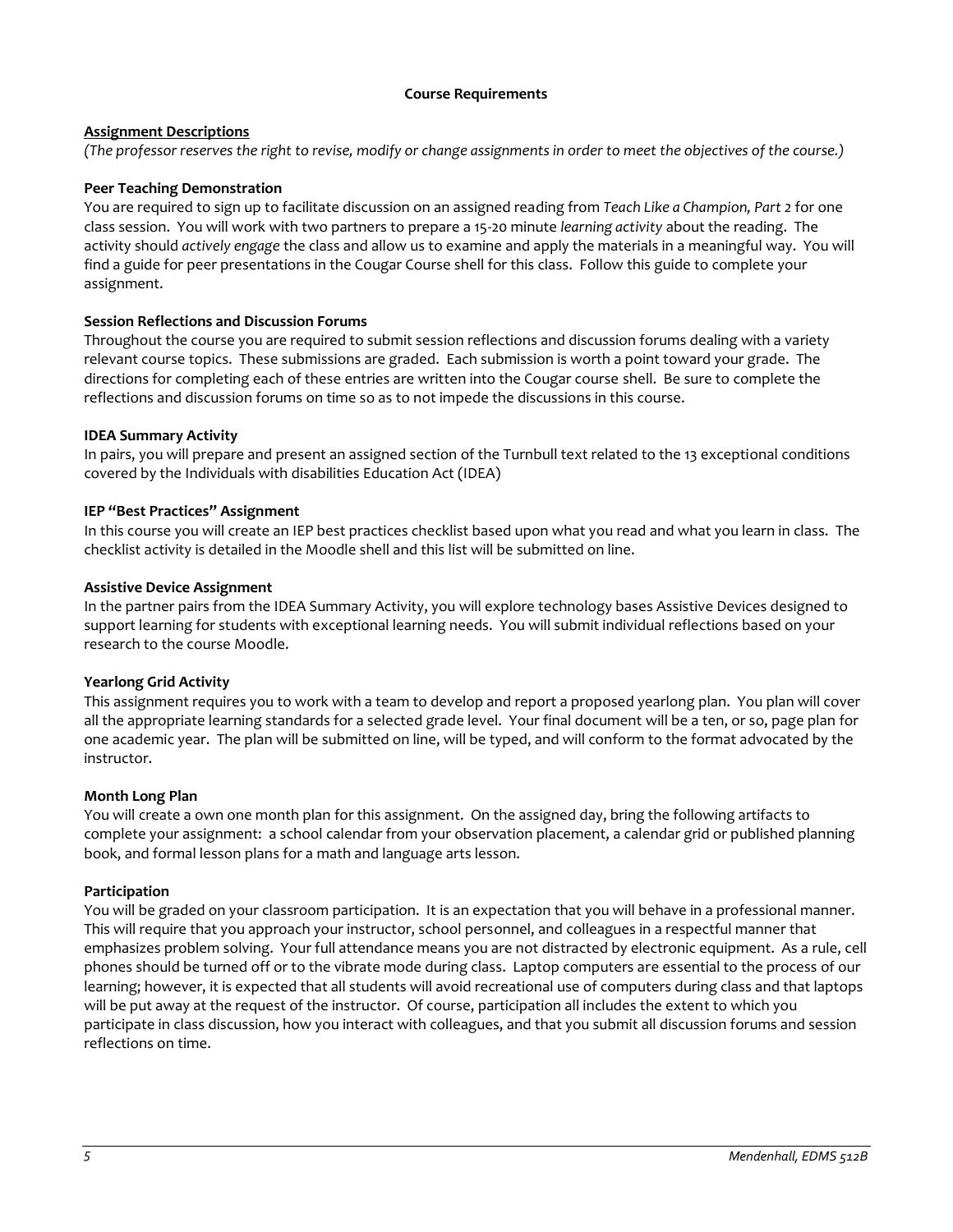## **Course Requirements**

## **Assignment Descriptions**

*(The professor reserves the right to revise, modify or change assignments in order to meet the objectives of the course.)*

## **Peer Teaching Demonstration**

You are required to sign up to facilitate discussion on an assigned reading from *Teach Like a Champion, Part 2* for one class session. You will work with two partners to prepare a 15-20 minute *learning activity* about the reading. The activity should *actively engage* the class and allow us to examine and apply the materials in a meaningful way. You will find a guide for peer presentations in the Cougar Course shell for this class. Follow this guide to complete your assignment.

## **Session Reflections and Discussion Forums**

Throughout the course you are required to submit session reflections and discussion forums dealing with a variety relevant course topics. These submissions are graded. Each submission is worth a point toward your grade. The directions for completing each of these entries are written into the Cougar course shell. Be sure to complete the reflections and discussion forums on time so as to not impede the discussions in this course.

## **IDEA Summary Activity**

In pairs, you will prepare and present an assigned section of the Turnbull text related to the 13 exceptional conditions covered by the Individuals with disabilities Education Act (IDEA)

## **IEP "Best Practices" Assignment**

In this course you will create an IEP best practices checklist based upon what you read and what you learn in class. The checklist activity is detailed in the Moodle shell and this list will be submitted on line.

## **Assistive Device Assignment**

In the partner pairs from the IDEA Summary Activity, you will explore technology bases Assistive Devices designed to support learning for students with exceptional learning needs. You will submit individual reflections based on your research to the course Moodle.

## **Yearlong Grid Activity**

This assignment requires you to work with a team to develop and report a proposed yearlong plan. You plan will cover all the appropriate learning standards for a selected grade level. Your final document will be a ten, or so, page plan for one academic year. The plan will be submitted on line, will be typed, and will conform to the format advocated by the instructor.

## **Month Long Plan**

You will create a own one month plan for this assignment. On the assigned day, bring the following artifacts to complete your assignment: a school calendar from your observation placement, a calendar grid or published planning book, and formal lesson plans for a math and language arts lesson.

## **Participation**

You will be graded on your classroom participation. It is an expectation that you will behave in a professional manner. This will require that you approach your instructor, school personnel, and colleagues in a respectful manner that emphasizes problem solving. Your full attendance means you are not distracted by electronic equipment. As a rule, cell phones should be turned off or to the vibrate mode during class. Laptop computers are essential to the process of our learning; however, it is expected that all students will avoid recreational use of computers during class and that laptops will be put away at the request of the instructor. Of course, participation all includes the extent to which you participate in class discussion, how you interact with colleagues, and that you submit all discussion forums and session reflections on time.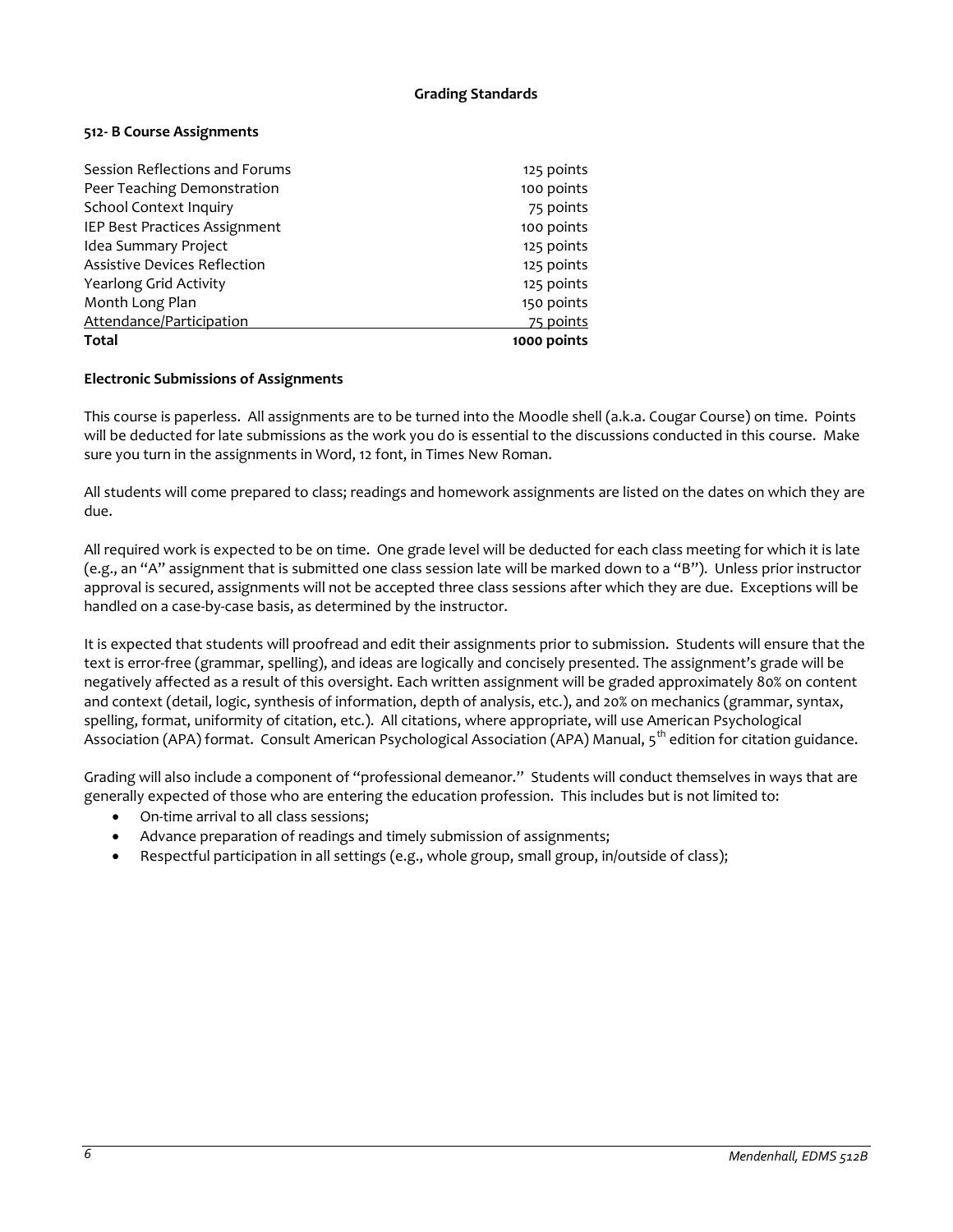## **Grading Standards**

## **512- B Course Assignments**

| Session Reflections and Forums      | 125 points  |
|-------------------------------------|-------------|
| Peer Teaching Demonstration         | 100 points  |
| <b>School Context Inquiry</b>       | 75 points   |
| IEP Best Practices Assignment       | 100 points  |
| Idea Summary Project                | 125 points  |
| <b>Assistive Devices Reflection</b> | 125 points  |
| Yearlong Grid Activity              | 125 points  |
| Month Long Plan                     | 150 points  |
| Attendance/Participation            | 75 points   |
| <b>Total</b>                        | 1000 points |

#### **Electronic Submissions of Assignments**

This course is paperless. All assignments are to be turned into the Moodle shell (a.k.a. Cougar Course) on time. Points will be deducted for late submissions as the work you do is essential to the discussions conducted in this course. Make sure you turn in the assignments in Word, 12 font, in Times New Roman.

All students will come prepared to class; readings and homework assignments are listed on the dates on which they are due.

All required work is expected to be on time. One grade level will be deducted for each class meeting for which it is late (e.g., an "A" assignment that is submitted one class session late will be marked down to a "B"). Unless prior instructor approval is secured, assignments will not be accepted three class sessions after which they are due. Exceptions will be handled on a case-by-case basis, as determined by the instructor.

It is expected that students will proofread and edit their assignments prior to submission. Students will ensure that the text is error-free (grammar, spelling), and ideas are logically and concisely presented. The assignment's grade will be negatively affected as a result of this oversight. Each written assignment will be graded approximately 80% on content and context (detail, logic, synthesis of information, depth of analysis, etc.), and 20% on mechanics (grammar, syntax, spelling, format, uniformity of citation, etc.). All citations, where appropriate, will use American Psychological Association (APA) format. Consult American Psychological Association (APA) Manual, 5<sup>th</sup> edition for citation guidance.

Grading will also include a component of "professional demeanor." Students will conduct themselves in ways that are generally expected of those who are entering the education profession. This includes but is not limited to:

- On-time arrival to all class sessions;
- Advance preparation of readings and timely submission of assignments;
- Respectful participation in all settings (e.g., whole group, small group, in/outside of class);